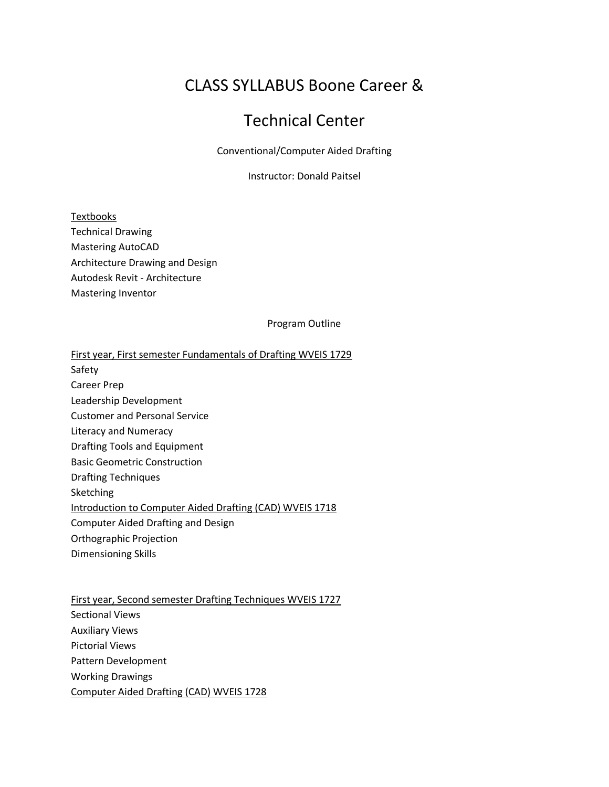# CLASS SYLLABUS Boone Career &

## Technical Center

Conventional/Computer Aided Drafting

Instructor: Donald Paitsel

Textbooks Technical Drawing Mastering AutoCAD Architecture Drawing and Design Autodesk Revit - Architecture Mastering Inventor

#### Program Outline

First year, First semester Fundamentals of Drafting WVEIS 1729

Safety

Career Prep

Leadership Development

Customer and Personal Service

Literacy and Numeracy

Drafting Tools and Equipment

Basic Geometric Construction

Drafting Techniques

Sketching

Introduction to Computer Aided Drafting (CAD) WVEIS 1718

Computer Aided Drafting and Design

Orthographic Projection

Dimensioning Skills

First year, Second semester Drafting Techniques WVEIS 1727 Sectional Views Auxiliary Views Pictorial Views Pattern Development Working Drawings Computer Aided Drafting (CAD) WVEIS 1728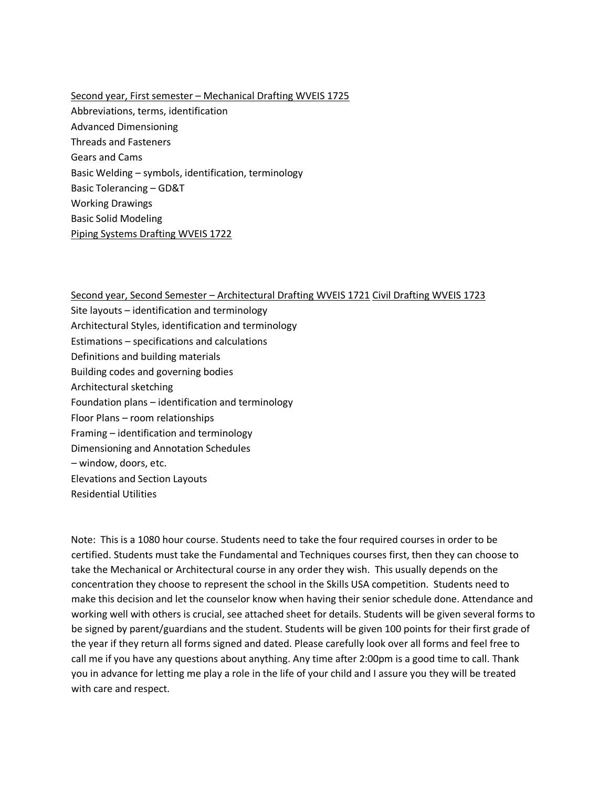Second year, First semester – Mechanical Drafting WVEIS 1725 Abbreviations, terms, identification Advanced Dimensioning Threads and Fasteners Gears and Cams Basic Welding – symbols, identification, terminology Basic Tolerancing – GD&T Working Drawings Basic Solid Modeling Piping Systems Drafting WVEIS 1722

Second year, Second Semester – Architectural Drafting WVEIS 1721 Civil Drafting WVEIS 1723 Site layouts – identification and terminology Architectural Styles, identification and terminology Estimations – specifications and calculations Definitions and building materials Building codes and governing bodies Architectural sketching Foundation plans – identification and terminology Floor Plans – room relationships Framing – identification and terminology Dimensioning and Annotation Schedules – window, doors, etc. Elevations and Section Layouts Residential Utilities

Note: This is a 1080 hour course. Students need to take the four required courses in order to be certified. Students must take the Fundamental and Techniques courses first, then they can choose to take the Mechanical or Architectural course in any order they wish. This usually depends on the concentration they choose to represent the school in the Skills USA competition. Students need to make this decision and let the counselor know when having their senior schedule done. Attendance and working well with others is crucial, see attached sheet for details. Students will be given several forms to be signed by parent/guardians and the student. Students will be given 100 points for their first grade of the year if they return all forms signed and dated. Please carefully look over all forms and feel free to call me if you have any questions about anything. Any time after 2:00pm is a good time to call. Thank you in advance for letting me play a role in the life of your child and I assure you they will be treated with care and respect.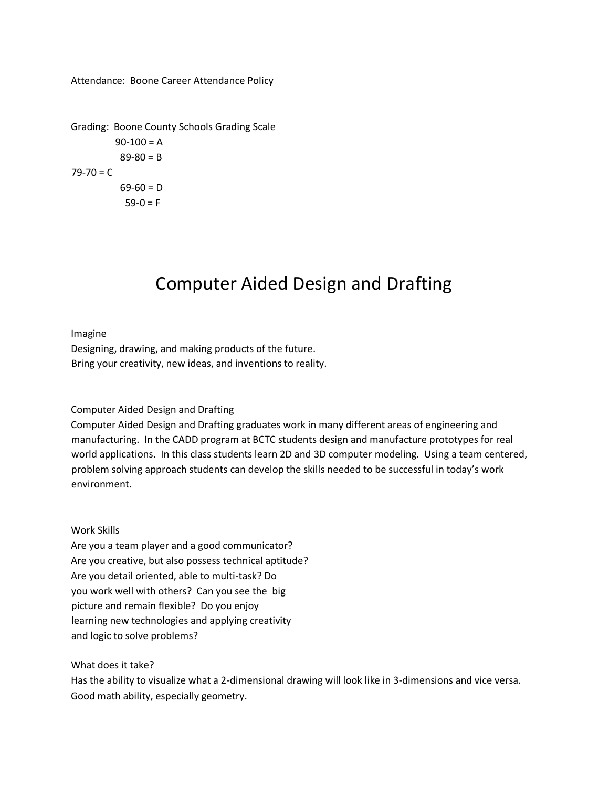Attendance: Boone Career Attendance Policy

Grading: Boone County Schools Grading Scale  $90-100 = A$  $89 - 80 = B$  $79 - 70 = C$  $69-60 = D$  $59-0 = F$ 

# Computer Aided Design and Drafting

Imagine Designing, drawing, and making products of the future. Bring your creativity, new ideas, and inventions to reality.

#### Computer Aided Design and Drafting

Computer Aided Design and Drafting graduates work in many different areas of engineering and manufacturing. In the CADD program at BCTC students design and manufacture prototypes for real world applications. In this class students learn 2D and 3D computer modeling. Using a team centered, problem solving approach students can develop the skills needed to be successful in today's work environment.

#### Work Skills

Are you a team player and a good communicator? Are you creative, but also possess technical aptitude? Are you detail oriented, able to multi-task? Do you work well with others? Can you see the big picture and remain flexible? Do you enjoy learning new technologies and applying creativity and logic to solve problems?

What does it take?

Has the ability to visualize what a 2-dimensional drawing will look like in 3-dimensions and vice versa. Good math ability, especially geometry.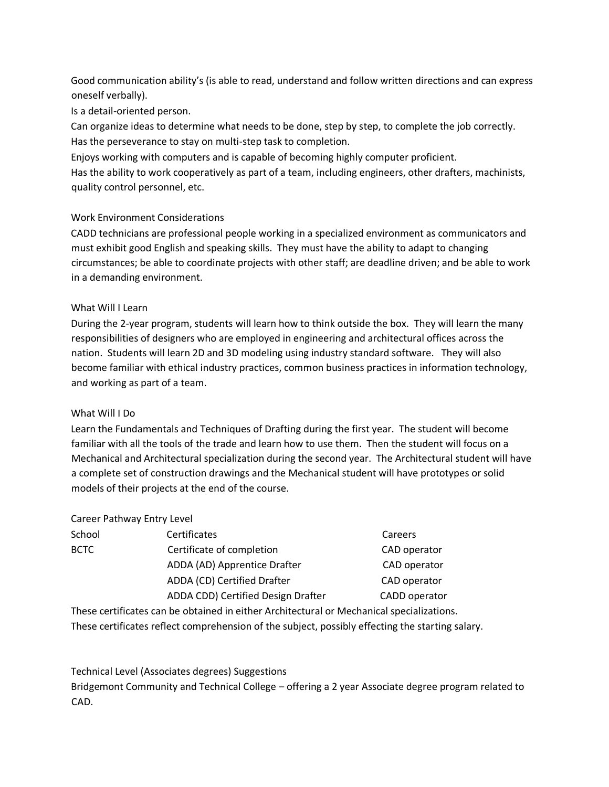Good communication ability's (is able to read, understand and follow written directions and can express oneself verbally).

Is a detail-oriented person.

Can organize ideas to determine what needs to be done, step by step, to complete the job correctly. Has the perseverance to stay on multi-step task to completion.

Enjoys working with computers and is capable of becoming highly computer proficient.

Has the ability to work cooperatively as part of a team, including engineers, other drafters, machinists, quality control personnel, etc.

#### Work Environment Considerations

CADD technicians are professional people working in a specialized environment as communicators and must exhibit good English and speaking skills. They must have the ability to adapt to changing circumstances; be able to coordinate projects with other staff; are deadline driven; and be able to work in a demanding environment.

#### What Will I Learn

During the 2-year program, students will learn how to think outside the box. They will learn the many responsibilities of designers who are employed in engineering and architectural offices across the nation. Students will learn 2D and 3D modeling using industry standard software. They will also become familiar with ethical industry practices, common business practices in information technology, and working as part of a team.

#### What Will I Do

Learn the Fundamentals and Techniques of Drafting during the first year. The student will become familiar with all the tools of the trade and learn how to use them. Then the student will focus on a Mechanical and Architectural specialization during the second year. The Architectural student will have a complete set of construction drawings and the Mechanical student will have prototypes or solid models of their projects at the end of the course.

#### Career Pathway Entry Level

| School      | Certificates                       | Careers       |
|-------------|------------------------------------|---------------|
| <b>BCTC</b> | Certificate of completion          | CAD operator  |
|             | ADDA (AD) Apprentice Drafter       | CAD operator  |
|             | ADDA (CD) Certified Drafter        | CAD operator  |
|             | ADDA CDD) Certified Design Drafter | CADD operator |

These certificates can be obtained in either Architectural or Mechanical specializations. These certificates reflect comprehension of the subject, possibly effecting the starting salary.

Technical Level (Associates degrees) Suggestions

Bridgemont Community and Technical College – offering a 2 year Associate degree program related to CAD.